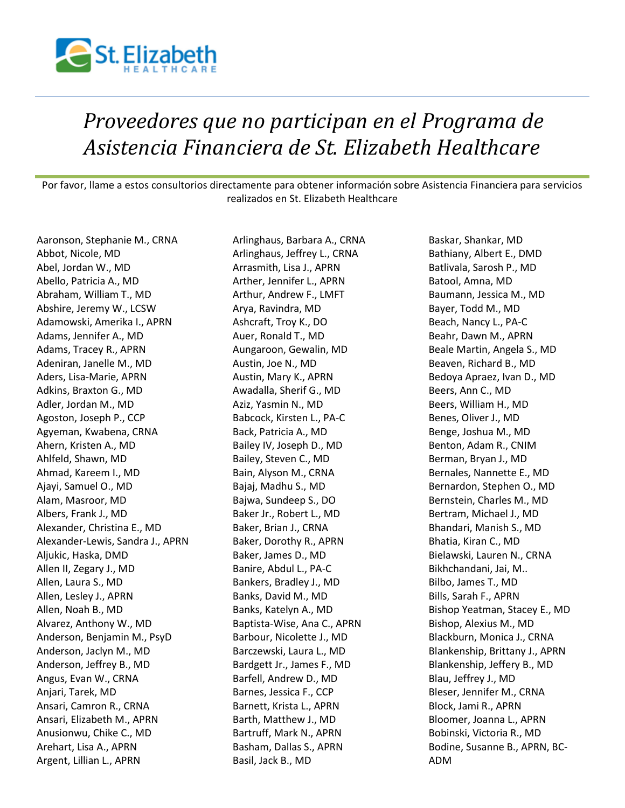

## *Proveedores que no participan en el Programa de Asistencia Financiera de St. Elizabeth Healthcare*

Por favor, llame a estos consultorios directamente para obtener información sobre Asistencia Financiera para servicios realizados en St. Elizabeth Healthcare

Aaronson, Stephanie M., CRNA Abbot, Nicole, MD Abel, Jordan W., MD Abello, Patricia A., MD Abraham, William T., MD Abshire, Jeremy W., LCSW Adamowski, Amerika I., APRN Adams, Jennifer A., MD Adams, Tracey R., APRN Adeniran, Janelle M., MD Aders, Lisa-Marie, APRN Adkins, Braxton G., MD Adler, Jordan M., MD Agoston, Joseph P., CCP Agyeman, Kwabena, CRNA Ahern, Kristen A., MD Ahlfeld, Shawn, MD Ahmad, Kareem I., MD Ajayi, Samuel O., MD Alam, Masroor, MD Albers, Frank J., MD Alexander, Christina E., MD Alexander-Lewis, Sandra J., APRN Aljukic, Haska, DMD Allen II, Zegary J., MD Allen, Laura S., MD Allen, Lesley J., APRN Allen, Noah B., MD Alvarez, Anthony W., MD Anderson, Benjamin M., PsyD Anderson, Jaclyn M., MD Anderson, Jeffrey B., MD Angus, Evan W., CRNA Anjari, Tarek, MD Ansari, Camron R., CRNA Ansari, Elizabeth M., APRN Anusionwu, Chike C., MD Arehart, Lisa A., APRN Argent, Lillian L., APRN

Arlinghaus, Barbara A., CRNA Arlinghaus, Jeffrey L., CRNA Arrasmith, Lisa J., APRN Arther, Jennifer L., APRN Arthur, Andrew F., LMFT Arya, Ravindra, MD Ashcraft, Troy K., DO Auer, Ronald T., MD Aungaroon, Gewalin, MD Austin, Joe N., MD Austin, Mary K., APRN Awadalla, Sherif G., MD Aziz, Yasmin N., MD Babcock, Kirsten L., PA-C Back, Patricia A., MD Bailey IV, Joseph D., MD Bailey, Steven C., MD Bain, Alyson M., CRNA Bajaj, Madhu S., MD Bajwa, Sundeep S., DO Baker Jr., Robert L., MD Baker, Brian J., CRNA Baker, Dorothy R., APRN Baker, James D., MD Banire, Abdul L., PA-C Bankers, Bradley J., MD Banks, David M., MD Banks, Katelyn A., MD Baptista-Wise, Ana C., APRN Barbour, Nicolette J., MD Barczewski, Laura L., MD Bardgett Jr., James F., MD Barfell, Andrew D., MD Barnes, Jessica F., CCP Barnett, Krista L., APRN Barth, Matthew J., MD Bartruff, Mark N., APRN Basham, Dallas S., APRN Basil, Jack B., MD

Baskar, Shankar, MD Bathiany, Albert E., DMD Batlivala, Sarosh P., MD Batool, Amna, MD Baumann, Jessica M., MD Bayer, Todd M., MD Beach, Nancy L., PA-C Beahr, Dawn M., APRN Beale Martin, Angela S., MD Beaven, Richard B., MD Bedoya Apraez, Ivan D., MD Beers, Ann C., MD Beers, William H., MD Benes, Oliver J., MD Benge, Joshua M., MD Benton, Adam R., CNIM Berman, Bryan J., MD Bernales, Nannette E., MD Bernardon, Stephen O., MD Bernstein, Charles M., MD Bertram, Michael J., MD Bhandari, Manish S., MD Bhatia, Kiran C., MD Bielawski, Lauren N., CRNA Bikhchandani, Jai, M.. Bilbo, James T., MD Bills, Sarah F., APRN Bishop Yeatman, Stacey E., MD Bishop, Alexius M., MD Blackburn, Monica J., CRNA Blankenship, Brittany J., APRN Blankenship, Jeffery B., MD Blau, Jeffrey J., MD Bleser, Jennifer M., CRNA Block, Jami R., APRN Bloomer, Joanna L., APRN Bobinski, Victoria R., MD Bodine, Susanne B., APRN, BC-ADM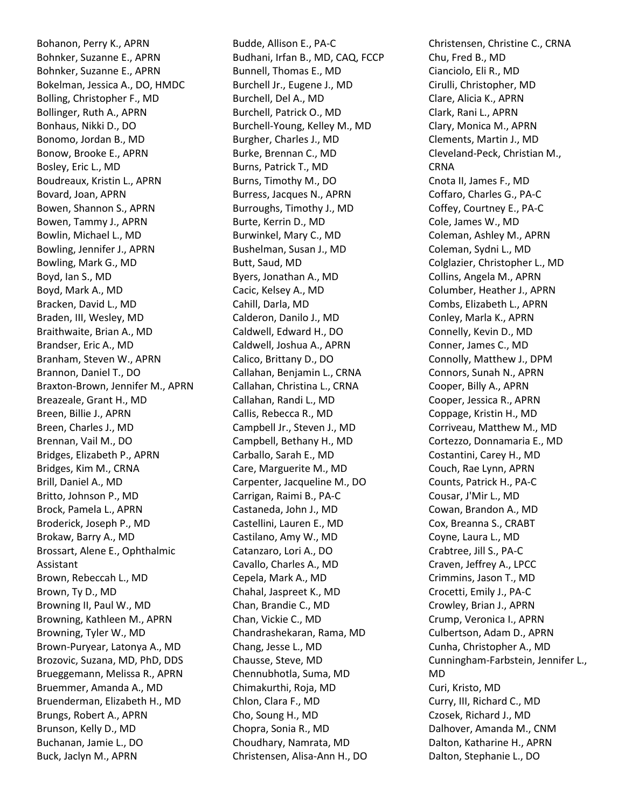Bohanon, Perry K., APRN Bohnker, Suzanne E., APRN Bohnker, Suzanne E., APRN Bokelman, Jessica A., DO, HMDC Bolling, Christopher F., MD Bollinger, Ruth A., APRN Bonhaus, Nikki D., DO Bonomo, Jordan B., MD Bonow, Brooke E., APRN Bosley, Eric L., MD Boudreaux, Kristin L., APRN Bovard, Joan, APRN Bowen, Shannon S., APRN Bowen, Tammy J., APRN Bowlin, Michael L., MD Bowling, Jennifer J., APRN Bowling, Mark G., MD Boyd, Ian S., MD Boyd, Mark A., MD Bracken, David L., MD Braden, III, Wesley, MD Braithwaite, Brian A., MD Brandser, Eric A., MD Branham, Steven W., APRN Brannon, Daniel T., DO Braxton-Brown, Jennifer M., APRN Breazeale, Grant H., MD Breen, Billie J., APRN Breen, Charles J., MD Brennan, Vail M., DO Bridges, Elizabeth P., APRN Bridges, Kim M., CRNA Brill, Daniel A., MD Britto, Johnson P., MD Brock, Pamela L., APRN Broderick, Joseph P., MD Brokaw, Barry A., MD Brossart, Alene E., Ophthalmic Assistant Brown, Rebeccah L., MD Brown, Ty D., MD Browning II, Paul W., MD Browning, Kathleen M., APRN Browning, Tyler W., MD Brown-Puryear, Latonya A., MD Brozovic, Suzana, MD, PhD, DDS Brueggemann, Melissa R., APRN Bruemmer, Amanda A., MD Bruenderman, Elizabeth H., MD Brungs, Robert A., APRN Brunson, Kelly D., MD Buchanan, Jamie L., DO Buck, Jaclyn M., APRN

Budde, Allison E., PA-C Budhani, Irfan B., MD, CAQ, FCCP Bunnell, Thomas E., MD Burchell Jr., Eugene J., MD Burchell, Del A., MD Burchell, Patrick O., MD Burchell-Young, Kelley M., MD Burgher, Charles J., MD Burke, Brennan C., MD Burns, Patrick T., MD Burns, Timothy M., DO Burress, Jacques N., APRN Burroughs, Timothy J., MD Burte, Kerrin D., MD Burwinkel, Mary C., MD Bushelman, Susan J., MD Butt, Saud, MD Byers, Jonathan A., MD Cacic, Kelsey A., MD Cahill, Darla, MD Calderon, Danilo J., MD Caldwell, Edward H., DO Caldwell, Joshua A., APRN Calico, Brittany D., DO Callahan, Benjamin L., CRNA Callahan, Christina L., CRNA Callahan, Randi L., MD Callis, Rebecca R., MD Campbell Jr., Steven J., MD Campbell, Bethany H., MD Carballo, Sarah E., MD Care, Marguerite M., MD Carpenter, Jacqueline M., DO Carrigan, Raimi B., PA-C Castaneda, John J., MD Castellini, Lauren E., MD Castilano, Amy W., MD Catanzaro, Lori A., DO Cavallo, Charles A., MD Cepela, Mark A., MD Chahal, Jaspreet K., MD Chan, Brandie C., MD Chan, Vickie C., MD Chandrashekaran, Rama, MD Chang, Jesse L., MD Chausse, Steve, MD Chennubhotla, Suma, MD Chimakurthi, Roja, MD Chlon, Clara F., MD Cho, Soung H., MD Chopra, Sonia R., MD Choudhary, Namrata, MD Christensen, Alisa-Ann H., DO

Christensen, Christine C., CRNA Chu, Fred B., MD Cianciolo, Eli R., MD Cirulli, Christopher, MD Clare, Alicia K., APRN Clark, Rani L., APRN Clary, Monica M., APRN Clements, Martin J., MD Cleveland-Peck, Christian M., CRNA Cnota II, James F., MD Coffaro, Charles G., PA-C Coffey, Courtney E., PA-C Cole, James W., MD Coleman, Ashley M., APRN Coleman, Sydni L., MD Colglazier, Christopher L., MD Collins, Angela M., APRN Columber, Heather J., APRN Combs, Elizabeth L., APRN Conley, Marla K., APRN Connelly, Kevin D., MD Conner, James C., MD Connolly, Matthew J., DPM Connors, Sunah N., APRN Cooper, Billy A., APRN Cooper, Jessica R., APRN Coppage, Kristin H., MD Corriveau, Matthew M., MD Cortezzo, Donnamaria E., MD Costantini, Carey H., MD Couch, Rae Lynn, APRN Counts, Patrick H., PA-C Cousar, J'Mir L., MD Cowan, Brandon A., MD Cox, Breanna S., CRABT Coyne, Laura L., MD Crabtree, Jill S., PA-C Craven, Jeffrey A., LPCC Crimmins, Jason T., MD Crocetti, Emily J., PA-C Crowley, Brian J., APRN Crump, Veronica I., APRN Culbertson, Adam D., APRN Cunha, Christopher A., MD Cunningham-Farbstein, Jennifer L., MD Curi, Kristo, MD Curry, III, Richard C., MD Czosek, Richard J., MD Dalhover, Amanda M., CNM Dalton, Katharine H., APRN Dalton, Stephanie L., DO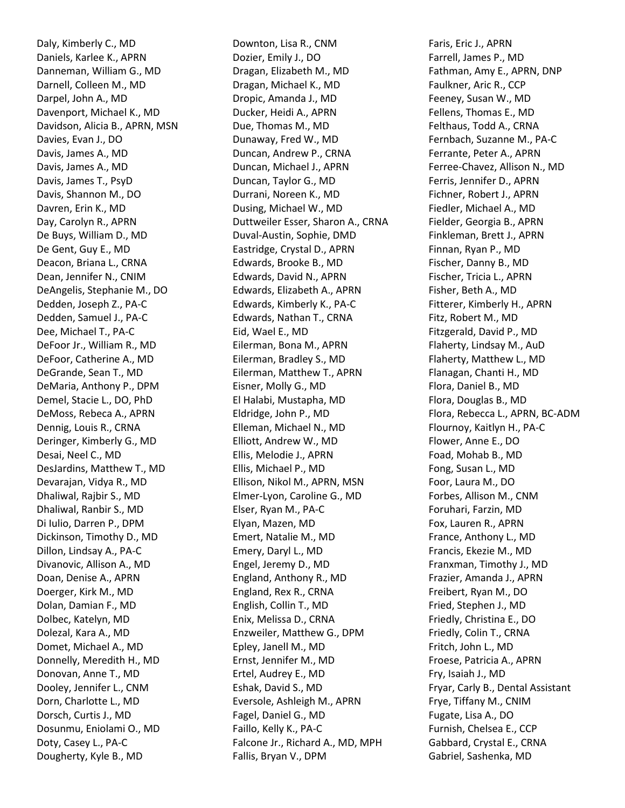Daly, Kimberly C., MD Daniels, Karlee K., APRN Danneman, William G., MD Darnell, Colleen M., MD Darpel, John A., MD Davenport, Michael K., MD Davidson, Alicia B., APRN, MSN Davies, Evan J., DO Davis, James A., MD Davis, James A., MD Davis, James T., PsyD Davis, Shannon M., DO Davren, Erin K., MD Day, Carolyn R., APRN De Buys, William D., MD De Gent, Guy E., MD Deacon, Briana L., CRNA Dean, Jennifer N., CNIM DeAngelis, Stephanie M., DO Dedden, Joseph Z., PA-C Dedden, Samuel J., PA-C Dee, Michael T., PA-C DeFoor Jr., William R., MD DeFoor, Catherine A., MD DeGrande, Sean T., MD DeMaria, Anthony P., DPM Demel, Stacie L., DO, PhD DeMoss, Rebeca A., APRN Dennig, Louis R., CRNA Deringer, Kimberly G., MD Desai, Neel C., MD DesJardins, Matthew T., MD Devarajan, Vidya R., MD Dhaliwal, Rajbir S., MD Dhaliwal, Ranbir S., MD Di Iulio, Darren P., DPM Dickinson, Timothy D., MD Dillon, Lindsay A., PA-C Divanovic, Allison A., MD Doan, Denise A., APRN Doerger, Kirk M., MD Dolan, Damian F., MD Dolbec, Katelyn, MD Dolezal, Kara A., MD Domet, Michael A., MD Donnelly, Meredith H., MD Donovan, Anne T., MD Dooley, Jennifer L., CNM Dorn, Charlotte L., MD Dorsch, Curtis J., MD Dosunmu, Eniolami O., MD Doty, Casey L., PA-C Dougherty, Kyle B., MD

Downton, Lisa R., CNM Dozier, Emily J., DO Dragan, Elizabeth M., MD Dragan, Michael K., MD Dropic, Amanda J., MD Ducker, Heidi A., APRN Due, Thomas M., MD Dunaway, Fred W., MD Duncan, Andrew P., CRNA Duncan, Michael J., APRN Duncan, Taylor G., MD Durrani, Noreen K., MD Dusing, Michael W., MD Duttweiler Esser, Sharon A., CRNA Duval-Austin, Sophie, DMD Eastridge, Crystal D., APRN Edwards, Brooke B., MD Edwards, David N., APRN Edwards, Elizabeth A., APRN Edwards, Kimberly K., PA-C Edwards, Nathan T., CRNA Eid, Wael E., MD Eilerman, Bona M., APRN Eilerman, Bradley S., MD Eilerman, Matthew T., APRN Eisner, Molly G., MD El Halabi, Mustapha, MD Eldridge, John P., MD Elleman, Michael N., MD Elliott, Andrew W., MD Ellis, Melodie J., APRN Ellis, Michael P., MD Ellison, Nikol M., APRN, MSN Elmer-Lyon, Caroline G., MD Elser, Ryan M., PA-C Elyan, Mazen, MD Emert, Natalie M., MD Emery, Daryl L., MD Engel, Jeremy D., MD England, Anthony R., MD England, Rex R., CRNA English, Collin T., MD Enix, Melissa D., CRNA Enzweiler, Matthew G., DPM Epley, Janell M., MD Ernst, Jennifer M., MD Ertel, Audrey E., MD Eshak, David S., MD Eversole, Ashleigh M., APRN Fagel, Daniel G., MD Faillo, Kelly K., PA-C Falcone Jr., Richard A., MD, MPH Fallis, Bryan V., DPM

Faris, Eric J., APRN Farrell, James P., MD Fathman, Amy E., APRN, DNP Faulkner, Aric R., CCP Feeney, Susan W., MD Fellens, Thomas E., MD Felthaus, Todd A., CRNA Fernbach, Suzanne M., PA-C Ferrante, Peter A., APRN Ferree-Chavez, Allison N., MD Ferris, Jennifer D., APRN Fichner, Robert J., APRN Fiedler, Michael A., MD Fielder, Georgia B., APRN Finkleman, Brett J., APRN Finnan, Ryan P., MD Fischer, Danny B., MD Fischer, Tricia L., APRN Fisher, Beth A., MD Fitterer, Kimberly H., APRN Fitz, Robert M., MD Fitzgerald, David P., MD Flaherty, Lindsay M., AuD Flaherty, Matthew L., MD Flanagan, Chanti H., MD Flora, Daniel B., MD Flora, Douglas B., MD Flora, Rebecca L., APRN, BC-ADM Flournoy, Kaitlyn H., PA-C Flower, Anne E., DO Foad, Mohab B., MD Fong, Susan L., MD Foor, Laura M., DO Forbes, Allison M., CNM Foruhari, Farzin, MD Fox, Lauren R., APRN France, Anthony L., MD Francis, Ekezie M., MD Franxman, Timothy J., MD Frazier, Amanda J., APRN Freibert, Ryan M., DO Fried, Stephen J., MD Friedly, Christina E., DO Friedly, Colin T., CRNA Fritch, John L., MD Froese, Patricia A., APRN Fry, Isaiah J., MD Fryar, Carly B., Dental Assistant Frye, Tiffany M., CNIM Fugate, Lisa A., DO Furnish, Chelsea E., CCP Gabbard, Crystal E., CRNA Gabriel, Sashenka, MD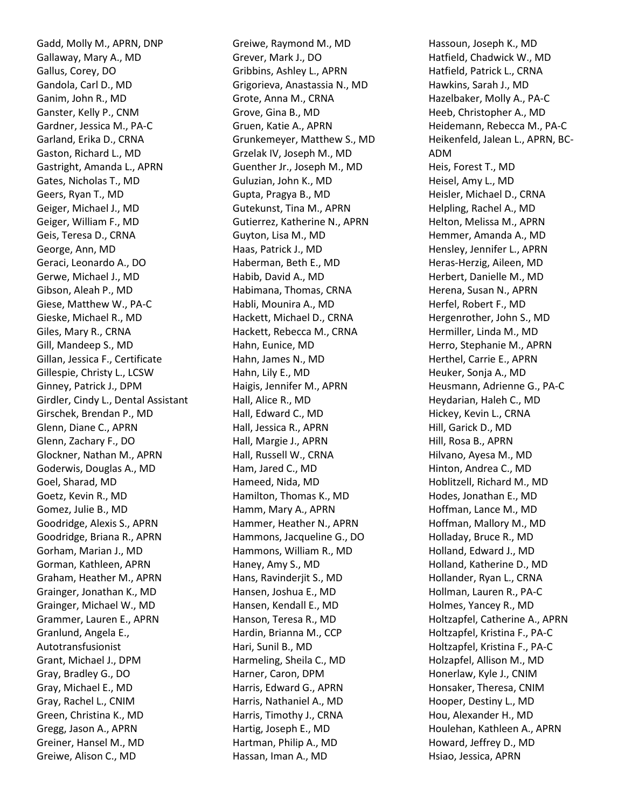Gadd, Molly M., APRN, DNP Gallaway, Mary A., MD Gallus, Corey, DO Gandola, Carl D., MD Ganim, John R., MD Ganster, Kelly P., CNM Gardner, Jessica M., PA-C Garland, Erika D., CRNA Gaston, Richard L., MD Gastright, Amanda L., APRN Gates, Nicholas T., MD Geers, Ryan T., MD Geiger, Michael J., MD Geiger, William F., MD Geis, Teresa D., CRNA George, Ann, MD Geraci, Leonardo A., DO Gerwe, Michael J., MD Gibson, Aleah P., MD Giese, Matthew W., PA-C Gieske, Michael R., MD Giles, Mary R., CRNA Gill, Mandeep S., MD Gillan, Jessica F., Certificate Gillespie, Christy L., LCSW Ginney, Patrick J., DPM Girdler, Cindy L., Dental Assistant Girschek, Brendan P., MD Glenn, Diane C., APRN Glenn, Zachary F., DO Glockner, Nathan M., APRN Goderwis, Douglas A., MD Goel, Sharad, MD Goetz, Kevin R., MD Gomez, Julie B., MD Goodridge, Alexis S., APRN Goodridge, Briana R., APRN Gorham, Marian J., MD Gorman, Kathleen, APRN Graham, Heather M., APRN Grainger, Jonathan K., MD Grainger, Michael W., MD Grammer, Lauren E., APRN Granlund, Angela E., Autotransfusionist Grant, Michael J., DPM Gray, Bradley G., DO Gray, Michael E., MD Gray, Rachel L., CNIM Green, Christina K., MD Gregg, Jason A., APRN Greiner, Hansel M., MD Greiwe, Alison C., MD

Greiwe, Raymond M., MD Grever, Mark J., DO Gribbins, Ashley L., APRN Grigorieva, Anastassia N., MD Grote, Anna M., CRNA Grove, Gina B., MD Gruen, Katie A., APRN Grunkemeyer, Matthew S., MD Grzelak IV, Joseph M., MD Guenther Jr., Joseph M., MD Guluzian, John K., MD Gupta, Pragya B., MD Gutekunst, Tina M., APRN Gutierrez, Katherine N., APRN Guyton, Lisa M., MD Haas, Patrick J., MD Haberman, Beth E., MD Habib, David A., MD Habimana, Thomas, CRNA Habli, Mounira A., MD Hackett, Michael D., CRNA Hackett, Rebecca M., CRNA Hahn, Eunice, MD Hahn, James N., MD Hahn, Lily E., MD Haigis, Jennifer M., APRN Hall, Alice R., MD Hall, Edward C., MD Hall, Jessica R., APRN Hall, Margie J., APRN Hall, Russell W., CRNA Ham, Jared C., MD Hameed, Nida, MD Hamilton, Thomas K., MD Hamm, Mary A., APRN Hammer, Heather N., APRN Hammons, Jacqueline G., DO Hammons, William R., MD Haney, Amy S., MD Hans, Ravinderjit S., MD Hansen, Joshua E., MD Hansen, Kendall E., MD Hanson, Teresa R., MD Hardin, Brianna M., CCP Hari, Sunil B., MD Harmeling, Sheila C., MD Harner, Caron, DPM Harris, Edward G., APRN Harris, Nathaniel A., MD Harris, Timothy J., CRNA Hartig, Joseph E., MD Hartman, Philip A., MD Hassan, Iman A., MD

Hassoun, Joseph K., MD Hatfield, Chadwick W., MD Hatfield, Patrick L., CRNA Hawkins, Sarah J., MD Hazelbaker, Molly A., PA-C Heeb, Christopher A., MD Heidemann, Rebecca M., PA-C Heikenfeld, Jalean L., APRN, BC-ADM Heis, Forest T., MD Heisel, Amy L., MD Heisler, Michael D., CRNA Helpling, Rachel A., MD Helton, Melissa M., APRN Hemmer, Amanda A., MD Hensley, Jennifer L., APRN Heras-Herzig, Aileen, MD Herbert, Danielle M., MD Herena, Susan N., APRN Herfel, Robert F., MD Hergenrother, John S., MD Hermiller, Linda M., MD Herro, Stephanie M., APRN Herthel, Carrie E., APRN Heuker, Sonja A., MD Heusmann, Adrienne G., PA-C Heydarian, Haleh C., MD Hickey, Kevin L., CRNA Hill, Garick D., MD Hill, Rosa B., APRN Hilvano, Ayesa M., MD Hinton, Andrea C., MD Hoblitzell, Richard M., MD Hodes, Jonathan E., MD Hoffman, Lance M., MD Hoffman, Mallory M., MD Holladay, Bruce R., MD Holland, Edward J., MD Holland, Katherine D., MD Hollander, Ryan L., CRNA Hollman, Lauren R., PA-C Holmes, Yancey R., MD Holtzapfel, Catherine A., APRN Holtzapfel, Kristina F., PA-C Holtzapfel, Kristina F., PA-C Holzapfel, Allison M., MD Honerlaw, Kyle J., CNIM Honsaker, Theresa, CNIM Hooper, Destiny L., MD Hou, Alexander H., MD Houlehan, Kathleen A., APRN Howard, Jeffrey D., MD Hsiao, Jessica, APRN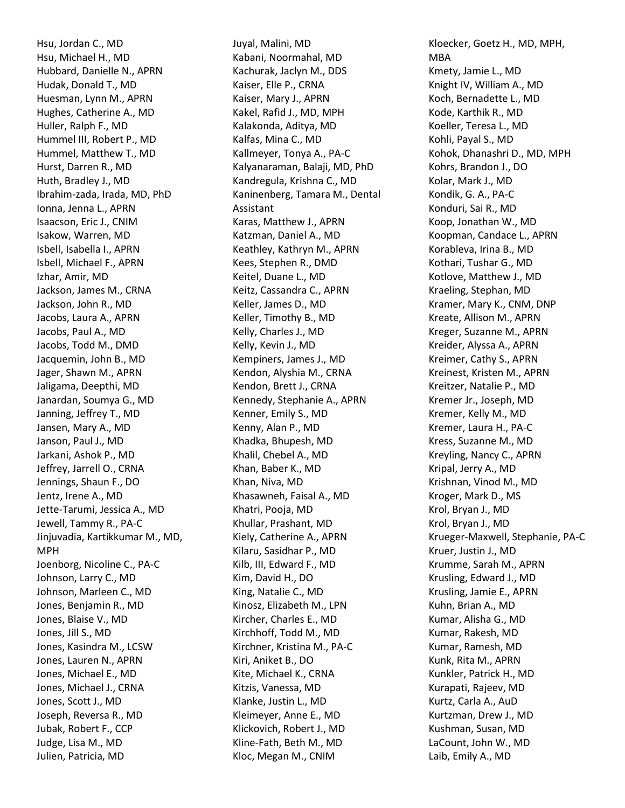Hsu, Jordan C., MD Hsu, Michael H., MD Hubbard, Danielle N., APRN Hudak, Donald T., MD Huesman, Lynn M., APRN Hughes, Catherine A., MD Huller, Ralph F., MD Hummel III, Robert P., MD Hummel, Matthew T., MD Hurst, Darren R., MD Huth, Bradley J., MD Ibrahim-zada, Irada, MD, PhD Ionna, Jenna L., APRN Isaacson, Eric J., CNIM Isakow, Warren, MD Isbell, Isabella I., APRN Isbell, Michael F., APRN Izhar, Amir, MD Jackson, James M., CRNA Jackson, John R., MD Jacobs, Laura A., APRN Jacobs, Paul A., MD Jacobs, Todd M., DMD Jacquemin, John B., MD Jager, Shawn M., APRN Jaligama, Deepthi, MD Janardan, Soumya G., MD Janning, Jeffrey T., MD Jansen, Mary A., MD Janson, Paul J., MD Jarkani, Ashok P., MD Jeffrey, Jarrell O., CRNA Jennings, Shaun F., DO Jentz, Irene A., MD Jette-Tarumi, Jessica A., MD Jewell, Tammy R., PA-C Jinjuvadia, Kartikkumar M., MD, MPH Joenborg, Nicoline C., PA-C Johnson, Larry C., MD Johnson, Marleen C., MD Jones, Benjamin R., MD Jones, Blaise V., MD Jones, Jill S., MD Jones, Kasindra M., LCSW Jones, Lauren N., APRN Jones, Michael E., MD Jones, Michael J., CRNA Jones, Scott J., MD Joseph, Reversa R., MD Jubak, Robert F., CCP Judge, Lisa M., MD Julien, Patricia, MD

Juyal, Malini, MD Kabani, Noormahal, MD Kachurak, Jaclyn M., DDS Kaiser, Elle P., CRNA Kaiser, Mary J., APRN Kakel, Rafid J., MD, MPH Kalakonda, Aditya, MD Kalfas, Mina C., MD Kallmeyer, Tonya A., PA-C Kalyanaraman, Balaji, MD, PhD Kandregula, Krishna C., MD Kaninenberg, Tamara M., Dental Assistant Karas, Matthew J., APRN Katzman, Daniel A., MD Keathley, Kathryn M., APRN Kees, Stephen R., DMD Keitel, Duane L., MD Keitz, Cassandra C., APRN Keller, James D., MD Keller, Timothy B., MD Kelly, Charles J., MD Kelly, Kevin J., MD Kempiners, James J., MD Kendon, Alyshia M., CRNA Kendon, Brett J., CRNA Kennedy, Stephanie A., APRN Kenner, Emily S., MD Kenny, Alan P., MD Khadka, Bhupesh, MD Khalil, Chebel A., MD Khan, Baber K., MD Khan, Niva, MD Khasawneh, Faisal A., MD Khatri, Pooja, MD Khullar, Prashant, MD Kiely, Catherine A., APRN Kilaru, Sasidhar P., MD Kilb, III, Edward F., MD Kim, David H., DO King, Natalie C., MD Kinosz, Elizabeth M., LPN Kircher, Charles E., MD Kirchhoff, Todd M., MD Kirchner, Kristina M., PA-C Kiri, Aniket B., DO Kite, Michael K., CRNA Kitzis, Vanessa, MD Klanke, Justin L., MD Kleimeyer, Anne E., MD Klickovich, Robert J., MD Kline-Fath, Beth M., MD Kloc, Megan M., CNIM

Kloecker, Goetz H., MD, MPH, MBA Kmety, Jamie L., MD Knight IV, William A., MD Koch, Bernadette L., MD Kode, Karthik R., MD Koeller, Teresa L., MD Kohli, Payal S., MD Kohok, Dhanashri D., MD, MPH Kohrs, Brandon J., DO Kolar, Mark J., MD Kondik, G. A., PA-C Konduri, Sai R., MD Koop, Jonathan W., MD Koopman, Candace L., APRN Korableva, Irina B., MD Kothari, Tushar G., MD Kotlove, Matthew J., MD Kraeling, Stephan, MD Kramer, Mary K., CNM, DNP Kreate, Allison M., APRN Kreger, Suzanne M., APRN Kreider, Alyssa A., APRN Kreimer, Cathy S., APRN Kreinest, Kristen M., APRN Kreitzer, Natalie P., MD Kremer Jr., Joseph, MD Kremer, Kelly M., MD Kremer, Laura H., PA-C Kress, Suzanne M., MD Kreyling, Nancy C., APRN Kripal, Jerry A., MD Krishnan, Vinod M., MD Kroger, Mark D., MS Krol, Bryan J., MD Krol, Bryan J., MD Krueger-Maxwell, Stephanie, PA-C Kruer, Justin J., MD Krumme, Sarah M., APRN Krusling, Edward J., MD Krusling, Jamie E., APRN Kuhn, Brian A., MD Kumar, Alisha G., MD Kumar, Rakesh, MD Kumar, Ramesh, MD Kunk, Rita M., APRN Kunkler, Patrick H., MD Kurapati, Rajeev, MD Kurtz, Carla A., AuD Kurtzman, Drew J., MD Kushman, Susan, MD LaCount, John W., MD Laib, Emily A., MD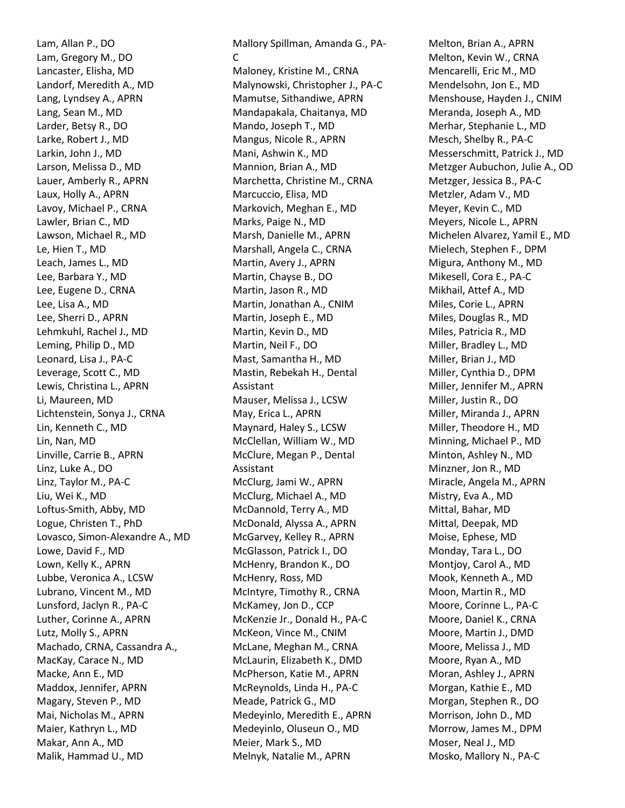Lam, Allan P., DO Lam, Gregory M., DO Lancaster, Elisha, MD Landorf, Meredith A., MD Lang, Lyndsey A., APRN Lang, Sean M., MD Larder, Betsy R., DO Larke, Robert J., MD Larkin, John J., MD Larson, Melissa D., MD Lauer, Amberly R., APRN Laux, Holly A., APRN Lavoy, Michael P., CRNA Lawler, Brian C., MD Lawson, Michael R., MD Le, Hien T., MD Leach, James L., MD Lee, Barbara Y., MD Lee, Eugene D., CRNA Lee, Lisa A., MD Lee, Sherri D., APRN Lehmkuhl, Rachel J., MD Leming, Philip D., MD Leonard, Lisa J., PA-C Leverage, Scott C., MD Lewis, Christina L., APRN Li, Maureen, MD Lichtenstein, Sonya J., CRNA Lin, Kenneth C., MD Lin, Nan, MD Linville, Carrie B., APRN Linz, Luke A., DO Linz, Taylor M., PA-C Liu, Wei K., MD Loftus-Smith, Abby, MD Logue, Christen T., PhD Lovasco, Simon-Alexandre A., MD Lowe, David F., MD Lown, Kelly K., APRN Lubbe, Veronica A., LCSW Lubrano, Vincent M., MD Lunsford, Jaclyn R., PA-C Luther, Corinne A., APRN Lutz, Molly S., APRN Machado, CRNA, Cassandra A., MacKay, Carace N., MD Macke, Ann E., MD Maddox, Jennifer, APRN Magary, Steven P., MD Mai, Nicholas M., APRN Maier, Kathryn L., MD Makar, Ann A., MD Malik, Hammad U., MD

Mallory Spillman, Amanda G., PA-C Maloney, Kristine M., CRNA Malynowski, Christopher J., PA-C Mamutse, Sithandiwe, APRN Mandapakala, Chaitanya, MD Mando, Joseph T., MD Mangus, Nicole R., APRN Mani, Ashwin K., MD Mannion, Brian A., MD Marchetta, Christine M., CRNA Marcuccio, Elisa, MD Markovich, Meghan E., MD Marks, Paige N., MD Marsh, Danielle M., APRN Marshall, Angela C., CRNA Martin, Avery J., APRN Martin, Chayse B., DO Martin, Jason R., MD Martin, Jonathan A., CNIM Martin, Joseph E., MD Martin, Kevin D., MD Martin, Neil F., DO Mast, Samantha H., MD Mastin, Rebekah H., Dental Assistant Mauser, Melissa J., LCSW May, Erica L., APRN Maynard, Haley S., LCSW McClellan, William W., MD McClure, Megan P., Dental Assistant McClurg, Jami W., APRN McClurg, Michael A., MD McDannold, Terry A., MD McDonald, Alyssa A., APRN McGarvey, Kelley R., APRN McGlasson, Patrick I., DO McHenry, Brandon K., DO McHenry, Ross, MD McIntyre, Timothy R., CRNA McKamey, Jon D., CCP McKenzie Jr., Donald H., PA-C McKeon, Vince M., CNIM McLane, Meghan M., CRNA McLaurin, Elizabeth K., DMD McPherson, Katie M., APRN McReynolds, Linda H., PA-C Meade, Patrick G., MD Medeyinlo, Meredith E., APRN Medeyinlo, Oluseun O., MD Meier, Mark S., MD Melnyk, Natalie M., APRN

Melton, Brian A., APRN Melton, Kevin W., CRNA Mencarelli, Eric M., MD Mendelsohn, Jon E., MD Menshouse, Hayden J., CNIM Meranda, Joseph A., MD Merhar, Stephanie L., MD Mesch, Shelby R., PA-C Messerschmitt, Patrick J., MD Metzger Aubuchon, Julie A., OD Metzger, Jessica B., PA-C Metzler, Adam V., MD Meyer, Kevin C., MD Meyers, Nicole L., APRN Michelen Alvarez, Yamil E., MD Mielech, Stephen F., DPM Migura, Anthony M., MD Mikesell, Cora E., PA-C Mikhail, Attef A., MD Miles, Corie L., APRN Miles, Douglas R., MD Miles, Patricia R., MD Miller, Bradley L., MD Miller, Brian J., MD Miller, Cynthia D., DPM Miller, Jennifer M., APRN Miller, Justin R., DO Miller, Miranda J., APRN Miller, Theodore H., MD Minning, Michael P., MD Minton, Ashley N., MD Minzner, Jon R., MD Miracle, Angela M., APRN Mistry, Eva A., MD Mittal, Bahar, MD Mittal, Deepak, MD Moise, Ephese, MD Monday, Tara L., DO Montjoy, Carol A., MD Mook, Kenneth A., MD Moon, Martin R., MD Moore, Corinne L., PA-C Moore, Daniel K., CRNA Moore, Martin J., DMD Moore, Melissa J., MD Moore, Ryan A., MD Moran, Ashley J., APRN Morgan, Kathie E., MD Morgan, Stephen R., DO Morrison, John D., MD Morrow, James M., DPM Moser, Neal J., MD Mosko, Mallory N., PA-C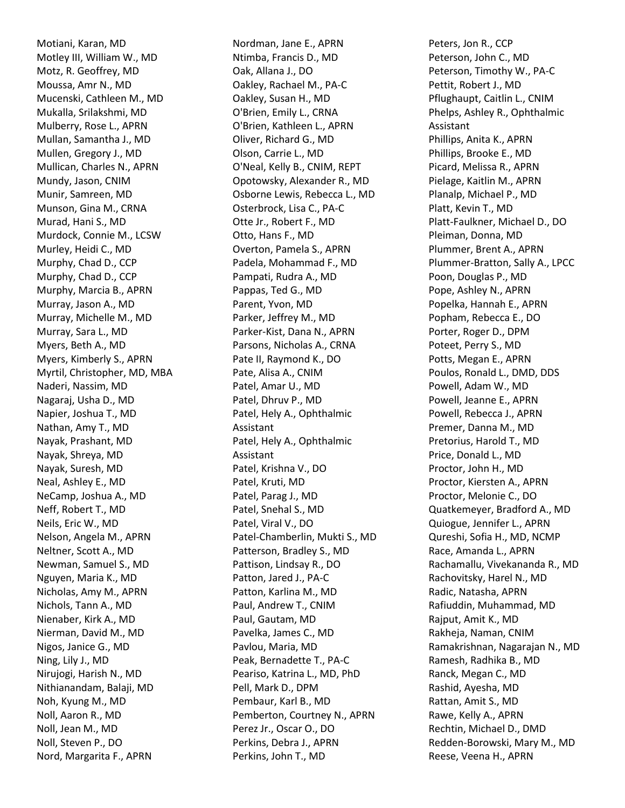Motiani, Karan, MD Motley III, William W., MD Motz, R. Geoffrey, MD Moussa, Amr N., MD Mucenski, Cathleen M., MD Mukalla, Srilakshmi, MD Mulberry, Rose L., APRN Mullan, Samantha J., MD Mullen, Gregory J., MD Mullican, Charles N., APRN Mundy, Jason, CNIM Munir, Samreen, MD Munson, Gina M., CRNA Murad, Hani S., MD Murdock, Connie M., LCSW Murley, Heidi C., MD Murphy, Chad D., CCP Murphy, Chad D., CCP Murphy, Marcia B., APRN Murray, Jason A., MD Murray, Michelle M., MD Murray, Sara L., MD Myers, Beth A., MD Myers, Kimberly S., APRN Myrtil, Christopher, MD, MBA Naderi, Nassim, MD Nagaraj, Usha D., MD Napier, Joshua T., MD Nathan, Amy T., MD Nayak, Prashant, MD Nayak, Shreya, MD Nayak, Suresh, MD Neal, Ashley E., MD NeCamp, Joshua A., MD Neff, Robert T., MD Neils, Eric W., MD Nelson, Angela M., APRN Neltner, Scott A., MD Newman, Samuel S., MD Nguyen, Maria K., MD Nicholas, Amy M., APRN Nichols, Tann A., MD Nienaber, Kirk A., MD Nierman, David M., MD Nigos, Janice G., MD Ning, Lily J., MD Nirujogi, Harish N., MD Nithianandam, Balaji, MD Noh, Kyung M., MD Noll, Aaron R., MD Noll, Jean M., MD Noll, Steven P., DO Nord, Margarita F., APRN

Nordman, Jane E., APRN Ntimba, Francis D., MD Oak, Allana J., DO Oakley, Rachael M., PA-C Oakley, Susan H., MD O'Brien, Emily L., CRNA O'Brien, Kathleen L., APRN Oliver, Richard G., MD Olson, Carrie L., MD O'Neal, Kelly B., CNIM, REPT Opotowsky, Alexander R., MD Osborne Lewis, Rebecca L., MD Osterbrock, Lisa C., PA-C Otte Jr., Robert F., MD Otto, Hans F., MD Overton, Pamela S., APRN Padela, Mohammad F., MD Pampati, Rudra A., MD Pappas, Ted G., MD Parent, Yvon, MD Parker, Jeffrey M., MD Parker-Kist, Dana N., APRN Parsons, Nicholas A., CRNA Pate II, Raymond K., DO Pate, Alisa A., CNIM Patel, Amar U., MD Patel, Dhruv P., MD Patel, Hely A., Ophthalmic Assistant Patel, Hely A., Ophthalmic Assistant Patel, Krishna V., DO Patel, Kruti, MD Patel, Parag J., MD Patel, Snehal S., MD Patel, Viral V., DO Patel-Chamberlin, Mukti S., MD Patterson, Bradley S., MD Pattison, Lindsay R., DO Patton, Jared J., PA-C Patton, Karlina M., MD Paul, Andrew T., CNIM Paul, Gautam, MD Pavelka, James C., MD Pavlou, Maria, MD Peak, Bernadette T., PA-C Peariso, Katrina L., MD, PhD Pell, Mark D., DPM Pembaur, Karl B., MD Pemberton, Courtney N., APRN Perez Jr., Oscar O., DO Perkins, Debra J., APRN Perkins, John T., MD

Peters, Jon R., CCP Peterson, John C., MD Peterson, Timothy W., PA-C Pettit, Robert J., MD Pflughaupt, Caitlin L., CNIM Phelps, Ashley R., Ophthalmic Assistant Phillips, Anita K., APRN Phillips, Brooke E., MD Picard, Melissa R., APRN Pielage, Kaitlin M., APRN Planalp, Michael P., MD Platt, Kevin T., MD Platt-Faulkner, Michael D., DO Pleiman, Donna, MD Plummer, Brent A., APRN Plummer-Bratton, Sally A., LPCC Poon, Douglas P., MD Pope, Ashley N., APRN Popelka, Hannah E., APRN Popham, Rebecca E., DO Porter, Roger D., DPM Poteet, Perry S., MD Potts, Megan E., APRN Poulos, Ronald L., DMD, DDS Powell, Adam W., MD Powell, Jeanne E., APRN Powell, Rebecca J., APRN Premer, Danna M., MD Pretorius, Harold T., MD Price, Donald L., MD Proctor, John H., MD Proctor, Kiersten A., APRN Proctor, Melonie C., DO Quatkemeyer, Bradford A., MD Quiogue, Jennifer L., APRN Qureshi, Sofia H., MD, NCMP Race, Amanda L., APRN Rachamallu, Vivekananda R., MD Rachovitsky, Harel N., MD Radic, Natasha, APRN Rafiuddin, Muhammad, MD Rajput, Amit K., MD Rakheja, Naman, CNIM Ramakrishnan, Nagarajan N., MD Ramesh, Radhika B., MD Ranck, Megan C., MD Rashid, Ayesha, MD Rattan, Amit S., MD Rawe, Kelly A., APRN Rechtin, Michael D., DMD Redden-Borowski, Mary M., MD Reese, Veena H., APRN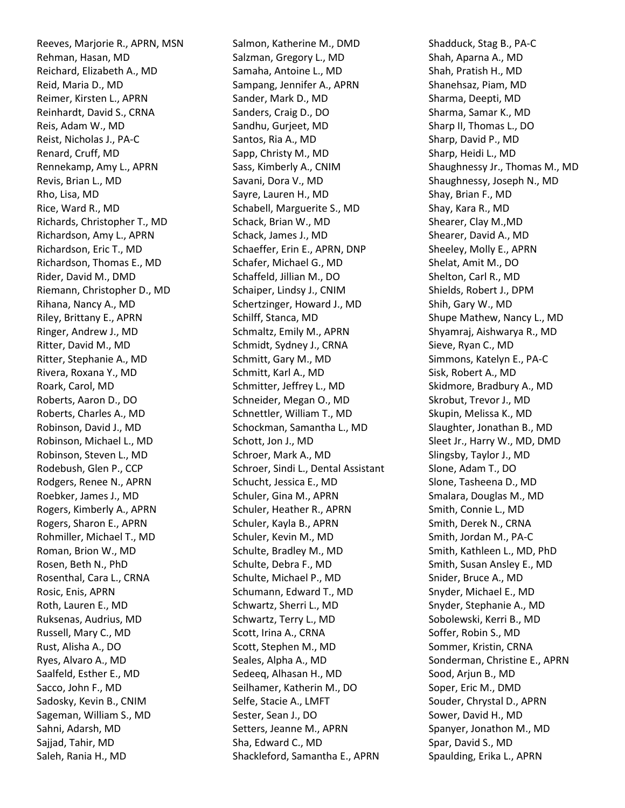Reeves, Marjorie R., APRN, MSN Rehman, Hasan, MD Reichard, Elizabeth A., MD Reid, Maria D., MD Reimer, Kirsten L., APRN Reinhardt, David S., CRNA Reis, Adam W., MD Reist, Nicholas J., PA-C Renard, Cruff, MD Rennekamp, Amy L., APRN Revis, Brian L., MD Rho, Lisa, MD Rice, Ward R., MD Richards, Christopher T., MD Richardson, Amy L., APRN Richardson, Eric T., MD Richardson, Thomas E., MD Rider, David M., DMD Riemann, Christopher D., MD Rihana, Nancy A., MD Riley, Brittany E., APRN Ringer, Andrew J., MD Ritter, David M., MD Ritter, Stephanie A., MD Rivera, Roxana Y., MD Roark, Carol, MD Roberts, Aaron D., DO Roberts, Charles A., MD Robinson, David J., MD Robinson, Michael L., MD Robinson, Steven L., MD Rodebush, Glen P., CCP Rodgers, Renee N., APRN Roebker, James J., MD Rogers, Kimberly A., APRN Rogers, Sharon E., APRN Rohmiller, Michael T., MD Roman, Brion W., MD Rosen, Beth N., PhD Rosenthal, Cara L., CRNA Rosic, Enis, APRN Roth, Lauren E., MD Ruksenas, Audrius, MD Russell, Mary C., MD Rust, Alisha A., DO Ryes, Alvaro A., MD Saalfeld, Esther E., MD Sacco, John F., MD Sadosky, Kevin B., CNIM Sageman, William S., MD Sahni, Adarsh, MD Sajjad, Tahir, MD Saleh, Rania H., MD

Salmon, Katherine M., DMD Salzman, Gregory L., MD Samaha, Antoine L., MD Sampang, Jennifer A., APRN Sander, Mark D., MD Sanders, Craig D., DO Sandhu, Gurjeet, MD Santos, Ria A., MD Sapp, Christy M., MD Sass, Kimberly A., CNIM Savani, Dora V., MD Sayre, Lauren H., MD Schabell, Marguerite S., MD Schack, Brian W., MD Schack, James J., MD Schaeffer, Erin E., APRN, DNP Schafer, Michael G., MD Schaffeld, Jillian M., DO Schaiper, Lindsy J., CNIM Schertzinger, Howard J., MD Schilff, Stanca, MD Schmaltz, Emily M., APRN Schmidt, Sydney J., CRNA Schmitt, Gary M., MD Schmitt, Karl A., MD Schmitter, Jeffrey L., MD Schneider, Megan O., MD Schnettler, William T., MD Schockman, Samantha L., MD Schott, Jon J., MD Schroer, Mark A., MD Schroer, Sindi L., Dental Assistant Schucht, Jessica E., MD Schuler, Gina M., APRN Schuler, Heather R., APRN Schuler, Kayla B., APRN Schuler, Kevin M., MD Schulte, Bradley M., MD Schulte, Debra F., MD Schulte, Michael P., MD Schumann, Edward T., MD Schwartz, Sherri L., MD Schwartz, Terry L., MD Scott, Irina A., CRNA Scott, Stephen M., MD Seales, Alpha A., MD Sedeeq, Alhasan H., MD Seilhamer, Katherin M., DO Selfe, Stacie A., LMFT Sester, Sean J., DO Setters, Jeanne M., APRN Sha, Edward C., MD Shackleford, Samantha E., APRN

Shadduck, Stag B., PA-C Shah, Aparna A., MD Shah, Pratish H., MD Shanehsaz, Piam, MD Sharma, Deepti, MD Sharma, Samar K., MD Sharp II, Thomas L., DO Sharp, David P., MD Sharp, Heidi L., MD Shaughnessy Jr., Thomas M., MD Shaughnessy, Joseph N., MD Shay, Brian F., MD Shay, Kara R., MD Shearer, Clay M.,MD Shearer, David A., MD Sheeley, Molly E., APRN Shelat, Amit M., DO Shelton, Carl R., MD Shields, Robert J., DPM Shih, Gary W., MD Shupe Mathew, Nancy L., MD Shyamraj, Aishwarya R., MD Sieve, Ryan C., MD Simmons, Katelyn E., PA-C Sisk, Robert A., MD Skidmore, Bradbury A., MD Skrobut, Trevor J., MD Skupin, Melissa K., MD Slaughter, Jonathan B., MD Sleet Jr., Harry W., MD, DMD Slingsby, Taylor J., MD Slone, Adam T., DO Slone, Tasheena D., MD Smalara, Douglas M., MD Smith, Connie L., MD Smith, Derek N., CRNA Smith, Jordan M., PA-C Smith, Kathleen L., MD, PhD Smith, Susan Ansley E., MD Snider, Bruce A., MD Snyder, Michael E., MD Snyder, Stephanie A., MD Sobolewski, Kerri B., MD Soffer, Robin S., MD Sommer, Kristin, CRNA Sonderman, Christine E., APRN Sood, Arjun B., MD Soper, Eric M., DMD Souder, Chrystal D., APRN Sower, David H., MD Spanyer, Jonathon M., MD Spar, David S., MD Spaulding, Erika L., APRN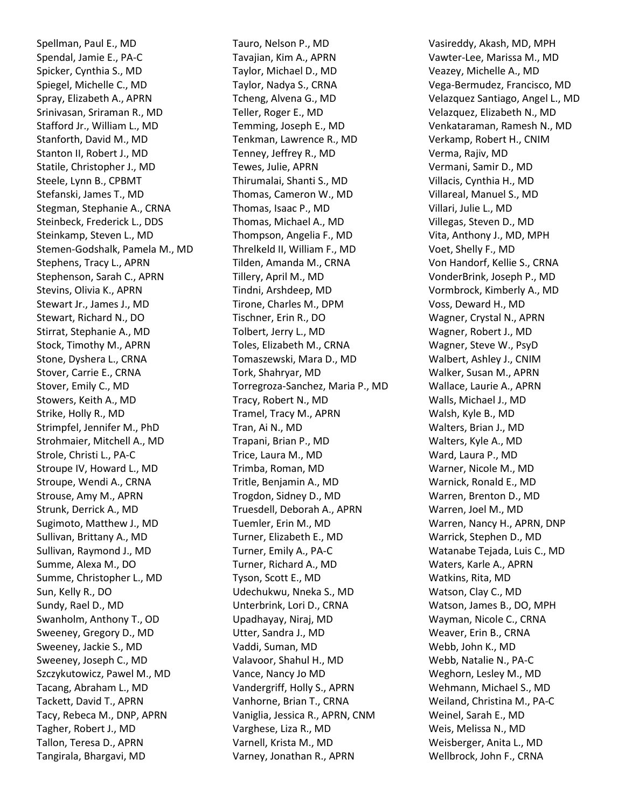Spellman, Paul E., MD Spendal, Jamie E., PA-C Spicker, Cynthia S., MD Spiegel, Michelle C., MD Spray, Elizabeth A., APRN Srinivasan, Sriraman R., MD Stafford Jr., William L., MD Stanforth, David M., MD Stanton II, Robert J., MD Statile, Christopher J., MD Steele, Lynn B., CPBMT Stefanski, James T., MD Stegman, Stephanie A., CRNA Steinbeck, Frederick L., DDS Steinkamp, Steven L., MD Stemen-Godshalk, Pamela M., MD Stephens, Tracy L., APRN Stephenson, Sarah C., APRN Stevins, Olivia K., APRN Stewart Jr., James J., MD Stewart, Richard N., DO Stirrat, Stephanie A., MD Stock, Timothy M., APRN Stone, Dyshera L., CRNA Stover, Carrie E., CRNA Stover, Emily C., MD Stowers, Keith A., MD Strike, Holly R., MD Strimpfel, Jennifer M., PhD Strohmaier, Mitchell A., MD Strole, Christi L., PA-C Stroupe IV, Howard L., MD Stroupe, Wendi A., CRNA Strouse, Amy M., APRN Strunk, Derrick A., MD Sugimoto, Matthew J., MD Sullivan, Brittany A., MD Sullivan, Raymond J., MD Summe, Alexa M., DO Summe, Christopher L., MD Sun, Kelly R., DO Sundy, Rael D., MD Swanholm, Anthony T., OD Sweeney, Gregory D., MD Sweeney, Jackie S., MD Sweeney, Joseph C., MD Szczykutowicz, Pawel M., MD Tacang, Abraham L., MD Tackett, David T., APRN Tacy, Rebeca M., DNP, APRN Tagher, Robert J., MD Tallon, Teresa D., APRN Tangirala, Bhargavi, MD

Tauro, Nelson P., MD Tavajian, Kim A., APRN Taylor, Michael D., MD Taylor, Nadya S., CRNA Tcheng, Alvena G., MD Teller, Roger E., MD Temming, Joseph E., MD Tenkman, Lawrence R., MD Tenney, Jeffrey R., MD Tewes, Julie, APRN Thirumalai, Shanti S., MD Thomas, Cameron W., MD Thomas, Isaac P., MD Thomas, Michael A., MD Thompson, Angelia F., MD Threlkeld II, William F., MD Tilden, Amanda M., CRNA Tillery, April M., MD Tindni, Arshdeep, MD Tirone, Charles M., DPM Tischner, Erin R., DO Tolbert, Jerry L., MD Toles, Elizabeth M., CRNA Tomaszewski, Mara D., MD Tork, Shahryar, MD Torregroza-Sanchez, Maria P., MD Tracy, Robert N., MD Tramel, Tracy M., APRN Tran, Ai N., MD Trapani, Brian P., MD Trice, Laura M., MD Trimba, Roman, MD Tritle, Benjamin A., MD Trogdon, Sidney D., MD Truesdell, Deborah A., APRN Tuemler, Erin M., MD Turner, Elizabeth E., MD Turner, Emily A., PA-C Turner, Richard A., MD Tyson, Scott E., MD Udechukwu, Nneka S., MD Unterbrink, Lori D., CRNA Upadhayay, Niraj, MD Utter, Sandra J., MD Vaddi, Suman, MD Valavoor, Shahul H., MD Vance, Nancy Jo MD Vandergriff, Holly S., APRN Vanhorne, Brian T., CRNA Vaniglia, Jessica R., APRN, CNM Varghese, Liza R., MD Varnell, Krista M., MD Varney, Jonathan R., APRN

Vasireddy, Akash, MD, MPH Vawter-Lee, Marissa M., MD Veazey, Michelle A., MD Vega-Bermudez, Francisco, MD Velazquez Santiago, Angel L., MD Velazquez, Elizabeth N., MD Venkataraman, Ramesh N., MD Verkamp, Robert H., CNIM Verma, Rajiv, MD Vermani, Samir D., MD Villacis, Cynthia H., MD Villareal, Manuel S., MD Villari, Julie L., MD Villegas, Steven D., MD Vita, Anthony J., MD, MPH Voet, Shelly F., MD Von Handorf, Kellie S., CRNA VonderBrink, Joseph P., MD Vormbrock, Kimberly A., MD Voss, Deward H., MD Wagner, Crystal N., APRN Wagner, Robert J., MD Wagner, Steve W., PsyD Walbert, Ashley J., CNIM Walker, Susan M., APRN Wallace, Laurie A., APRN Walls, Michael J., MD Walsh, Kyle B., MD Walters, Brian J., MD Walters, Kyle A., MD Ward, Laura P., MD Warner, Nicole M., MD Warnick, Ronald E., MD Warren, Brenton D., MD Warren, Joel M., MD Warren, Nancy H., APRN, DNP Warrick, Stephen D., MD Watanabe Tejada, Luis C., MD Waters, Karle A., APRN Watkins, Rita, MD Watson, Clay C., MD Watson, James B., DO, MPH Wayman, Nicole C., CRNA Weaver, Erin B., CRNA Webb, John K., MD Webb, Natalie N., PA-C Weghorn, Lesley M., MD Wehmann, Michael S., MD Weiland, Christina M., PA-C Weinel, Sarah E., MD Weis, Melissa N., MD Weisberger, Anita L., MD Wellbrock, John F., CRNA